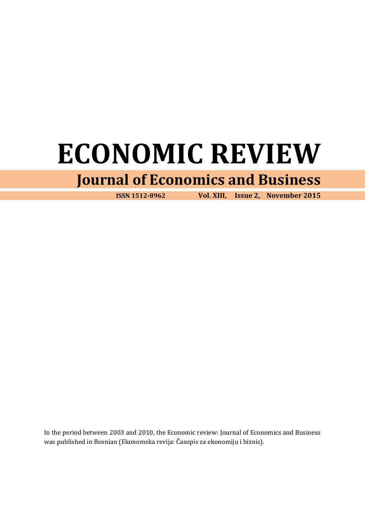# **ECONOMIC REVIEW**

# **Journal of Economics and Business**

 **ISSN 1512-8962 Vol. XIII, Issue 2, November 2015**

In the period between 2003 and 2010, the Economic review: Journal of Economics and Business was published in Bosnian (Ekonomska revija: Časopis za ekonomiju i biznis).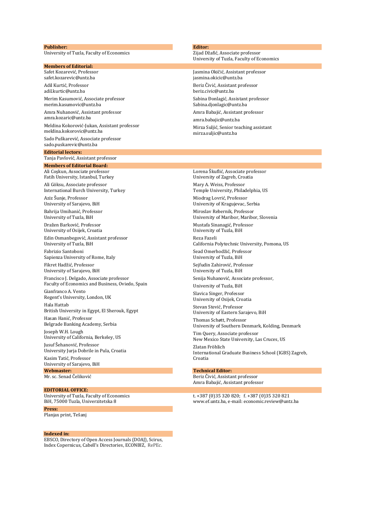#### **Publisher:**

University of Tuzla, Faculty of Economics

#### **Members of Editorial:**

Safet Kozarević, Professor [safet.kozarevic@untz.ba](mailto:safet.kozarevic@untz.ba) Adil Kurtić, Professor [adil.kurtic@untz.ba](mailto:adil.kurtic@untz.ba) Merim Kasumović, Associate professor [merim.kasumovic@untz.ba](mailto:merim.kasumovic@untz.ba) Amra Nuhanović, Assistant professor [amra.kozaric@untz.ba](mailto:amra.kozaric@untz.ba) Meldina Kokorović-Jukan, Assistant professor meldina.kokorovic@untz.ba Sado Puškarević, Associate professor sado.puskarevic@untz.ba **Editorial lectors:**

Tanja Pavlović, Assistant professor

**Members of Editorial Board:** Ali Coşkun, Associate professor Fatih University, Istanbul, Turkey

Ali Göksu, Associate professor International Burch University, Turkey

Aziz Šunje, Professor University of Sarajevo, BiH

Bahrija Umihanić, Professor University of Tuzla, BiH

Dražen Barković, Professor University of Osijek, Croatia

Edin Osmanbegović, Assistant professor University of Tuzla, BiH

Fabrizio Santoboni Sapienza University of Rome, Italy

Fikret Hadžić, Professor University of Sarajevo, BiH

Francisco J. Delgado, Associate professor Faculty of Economics and Business, Oviedo, Spain Gianfranco A. Vento

Regent's University, London, UK Hala Hattab British University in Egypt, El Sherouk, Egypt Hasan Hanić, Professor

Belgrade Banking Academy, Serbia

Joseph W.H. Lough University of California, Berkeley, US Jusuf Šehanović, Professor University Jurja Dobrile in Pula, Croatia

Kasim Tatić, Professor University of Sarajevo, BiH **Webmaster:**

Mr. sc. Senad Čeliković

### **EDITORIAL OFFICE:**

University of Tuzla, Faculty of Economics BiH, 75000 Tuzla, Univerzitetska 8

## **Press:**

Planjax print, Tešanj

#### **Indexed in:**

EBSCO, Directory of Open Access Journals (DOAJ), Scirus, Index Copernicus, Cabell's Directories, ECONBIZ, RePEc.

# **Editor:**

Zijad Džafić, Associate professor University of Tuzla, Faculty of Economics

Jasmina Okičić, Assistant professor [jasmina.okicic@untz.ba](mailto:jasmina.okicic@untz.ba) Beriz Čivić, Assistant professor [beriz.civic@untz.ba](mailto:beriz.civic@untz.ba) Sabina Đonlagić, Assistant professor [Sabina.djonlagic@untz.ba](mailto:Sabina.djonlagic@untz.ba) Amra Babajić, Assistant professor amra.babajic@untz.ba Mirza Suljić, Senior teaching assistant [mirza.suljic@untz.ba](mailto:mirza.suljic@untz.ba)

Lorena Škuflić, Associate professor University of Zagreb, Croatia

Mary A. Weiss, Professor Temple University, Philadelphia, US

Miodrag Lovrić, Professor University of Kragujevac, Serbia

Miroslav Rebernik, Professor University of Maribor, Maribor, Slovenia

Mustafa Sinanagić, Professor University of Tuzla, BiH

Reza Fazeli California Polytechnic University, Pomona, US

Sead Omerhodžić, Professor University of Tuzla, BiH

Sejfudin Zahirović, Professor University of Tuzla, BiH

Senija Nuhanović, Associate professor,

University of Tuzla, BiH

Slavica Singer, Professor University of Osijek, Croatia Stevan Stević, Professor

University of Eastern Sarajevo, BiH

Thomas Schøtt, Professor University of Southern Denmark, Kolding, Denmark

Tim Query, Associate professor New Mexico State University, Las Cruces, US Zlatan Fröhlich International Graduate Business School (IGBS) Zagreb, Croatia

### **Technical Editor:**

Beriz Čivić, Assistant professor Amra Babajić, Assistant professor

t. +387 (0)35 320 820; f. +387 (0)35 320 821 www.ef.untz.ba, e-mail: economic.review@untz.ba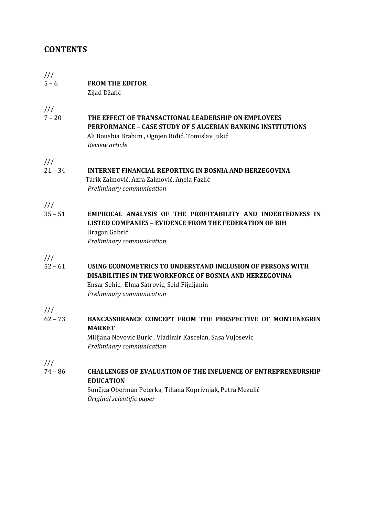# **CONTENTS**

# /// 5 – 6 **FROM THE EDITOR**

Zijad Džafić

///

7 – 20 **THE EFFECT OF TRANSACTIONAL LEADERSHIP ON EMPLOYEES PERFORMANCE – CASE STUDY OF 5 ALGERIAN BANKING INSTITUTIONS** Ali Bousbia Brahim , Ognjen Riđić, Tomislav Jukić *Review article*

///

21 – 34 **INTERNET FINANCIAL REPORTING IN BOSNIA AND HERZEGOVINA** Tarik Zaimović, Azra Zaimović, Anela Fazlić *Preliminary communication*

///

35 – 51 **EMPIRICAL ANALYSIS OF THE PROFITABILITY AND INDEBTEDNESS IN LISTED COMPANIES – EVIDENCE FROM THE FEDERATION OF BIH** Dragan Gabrić *Preliminary communication*

///

52 – 61 **USING ECONOMETRICS TO UNDERSTAND INCLUSION OF PERSONS WITH DISABILITIES IN THE WORKFORCE OF BOSNIA AND HERZEGOVINA** Ensar Sehic, Elma Satrovic, Seid Fijuljanin *Preliminary communication*

///

62 – 73 **BANCASSURANCE CONCEPT FROM THE PERSPECTIVE OF MONTENEGRIN MARKET**

 Milijana Novovic Buric , Vladimir Kascelan, Sasa Vujosevic *Preliminary communication*

///

74 – 86 **CHALLENGES OF EVALUATION OF THE INFLUENCE OF ENTREPRENEURSHIP EDUCATION**

> Sunčica Oberman Peterka, Tihana Koprivnjak, Petra Mezulić *Original scientific paper*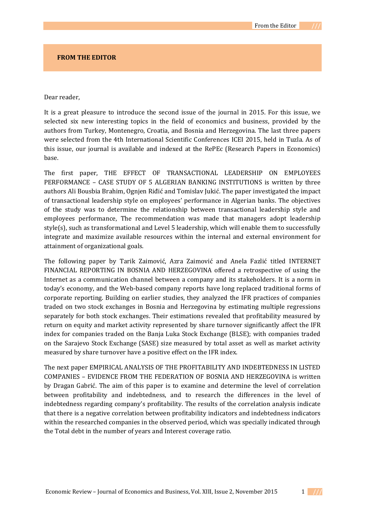# **FROM THE EDITOR**

# Dear reader,

It is a great pleasure to introduce the second issue of the journal in 2015. For this issue, we selected six new interesting topics in the field of economics and business, provided by the authors from Turkey, Montenegro, Croatia, and Bosnia and Herzegovina. The last three papers were selected from the 4th International Scientific Conferences ICEI 2015, held in Tuzla. As of this issue, our journal is available and indexed at the RePEc (Research Papers in Economics) base.

The first paper, THE EFFECT OF TRANSACTIONAL LEADERSHIP ON EMPLOYEES PERFORMANCE – CASE STUDY OF 5 ALGERIAN BANKING INSTITUTIONS is written by three authors Ali Bousbia Brahim, Ognjen Riđić and Tomislav Jukić. The paper investigated the impact of transactional leadership style on employees' performance in Algerian banks. The objectives of the study was to determine the relationship between transactional leadership style and employees performance, The recommendation was made that managers adopt leadership style(s), such as transformational and Level 5 leadership, which will enable them to successfully integrate and maximize available resources within the internal and external environment for attainment of organizational goals.

The following paper by Tarik Zaimović, Azra Zaimović and Anela Fazlić titled INTERNET FINANCIAL REPORTING IN BOSNIA AND HERZEGOVINA offered a retrospective of using the Internet as a communication channel between a company and its stakeholders. It is a norm in today's economy, and the Web-based company reports have long replaced traditional forms of corporate reporting. Building on earlier studies, they analyzed the IFR practices of companies traded on two stock exchanges in Bosnia and Herzegovina by estimating multiple regressions separately for both stock exchanges. Their estimations revealed that profitability measured by return on equity and market activity represented by share turnover significantly affect the IFR index for companies traded on the Banja Luka Stock Exchange (BLSE); with companies traded on the Sarajevo Stock Exchange (SASE) size measured by total asset as well as market activity measured by share turnover have a positive effect on the IFR index.

The next paper EMPIRICAL ANALYSIS OF THE PROFITABILITY AND INDEBTEDNESS IN LISTED COMPANIES – EVIDENCE FROM THE FEDERATION OF BOSNIA AND HERZEGOVINA is written by Dragan Gabrić. The aim of this paper is to examine and determine the level of correlation between profitability and indebtedness, and to research the differences in the level of indebtedness regarding company's profitability. The results of the correlation analysis indicate that there is a negative correlation between profitability indicators and indebtedness indicators within the researched companies in the observed period, which was specially indicated through the Total debt in the number of years and Interest coverage ratio.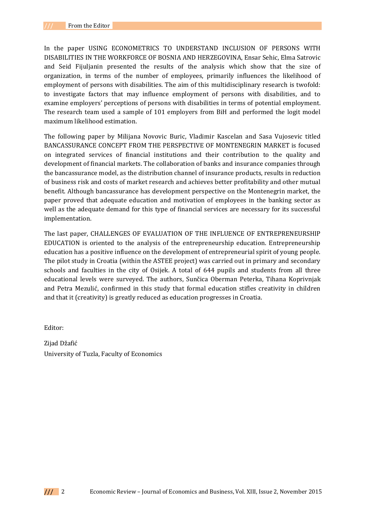In the paper USING ECONOMETRICS TO UNDERSTAND INCLUSION OF PERSONS WITH DISABILITIES IN THE WORKFORCE OF BOSNIA AND HERZEGOVINA, Ensar Sehic, Elma Satrovic and Seid Fijuljanin presented the results of the analysis which show that the size of organization, in terms of the number of employees, primarily influences the likelihood of employment of persons with disabilities. The aim of this multidisciplinary research is twofold: to investigate factors that may influence employment of persons with disabilities, and to examine employers' perceptions of persons with disabilities in terms of potential employment. The research team used a sample of 101 employers from BiH and performed the logit model maximum likelihood estimation.

The following paper by Milijana Novovic Buric, Vladimir Kascelan and Sasa Vujosevic titled BANCASSURANCE CONCEPT FROM THE PERSPECTIVE OF MONTENEGRIN MARKET is focused on integrated services of financial institutions and their contribution to the quality and development of financial markets. The collaboration of banks and insurance companies through the bancassurance model, as the distribution channel of insurance products, results in reduction of business risk and costs of market research and achieves better profitability and other mutual benefit. Although bancassurance has development perspective on the Montenegrin market, the paper proved that adequate education and motivation of employees in the banking sector as well as the adequate demand for this type of financial services are necessary for its successful implementation.

The last paper, CHALLENGES OF EVALUATION OF THE INFLUENCE OF ENTREPRENEURSHIP EDUCATION is oriented to the analysis of the entrepreneurship education. Entrepreneurship education has a positive influence on the development of entrepreneurial spirit of young people. The pilot study in Croatia (within the ASTEE project) was carried out in primary and secondary schools and faculties in the city of Osijek. A total of 644 pupils and students from all three educational levels were surveyed. The authors, Sunčica Oberman Peterka, Tihana Koprivnjak and Petra Mezulić, confirmed in this study that formal education stifles creativity in children and that it (creativity) is greatly reduced as education progresses in Croatia.

Editor:

Zijad Džafić University of Tuzla, Faculty of Economics